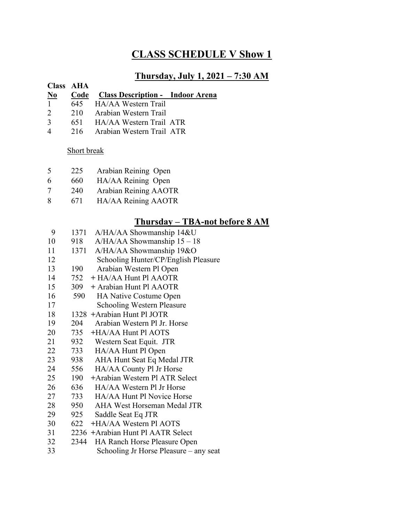# **CLASS SCHEDULE V Show 1**

### **Thursday, July 1, 2021 – 7:30 AM**

#### **Class AHA No Code Class Description - Indoor Arena** 645 HA/AA Western Trail

- 210 Arabian Western Trail
- 651 HA/AA Western Trail ATR
- 
- 216 Arabian Western Trail ATR

#### Short break

- 225 Arabian Reining Open
- 660 HA/AA Reining Open
- 240 Arabian Reining AAOTR
- 671 HA/AA Reining AAOTR

## **Thursday – TBA-not before 8 AM**

- 1371 A/HA/AA Showmanship 14&U 918 A/HA/AA Showmanship 15 – 18
- 1371 A/HA/AA Showmanship 19&O
- 12 Schooling Hunter/CP/English Pleasure
- 190 Arabian Western Pl Open
- 752 **+** HA/AA Hunt Pl AAOTR
- 309 **+** Arabian Hunt Pl AAOTR
- 16 590 HA Native Costume Open
- 17 Schooling Western Pleasure
- 1328 **+**Arabian Hunt Pl JOTR
- 204 Arabian Western Pl Jr. Horse
- 20 735 **+**HA/AA Hunt Pl AOTS
- 932 Western Seat Equit. JTR
- 733 HA/AA Hunt Pl Open
- 938 AHA Hunt Seat Eq Medal JTR
- 556 HA/AA County Pl Jr Horse
- 190 **+**Arabian Western Pl ATR Select
- 636 HA/AA Western Pl Jr Horse
- 27 733 HA/AA Hunt Pl Novice Horse
- 950 AHA West Horseman Medal JTR
- 925 Saddle Seat Eq JTR
- 622 **+**HA/AA Western Pl AOTS
- 2236 **+**Arabian Hunt Pl AATR Select
- 32 2344 HA Ranch Horse Pleasure Open
- 33 Schooling Jr Horse Pleasure any seat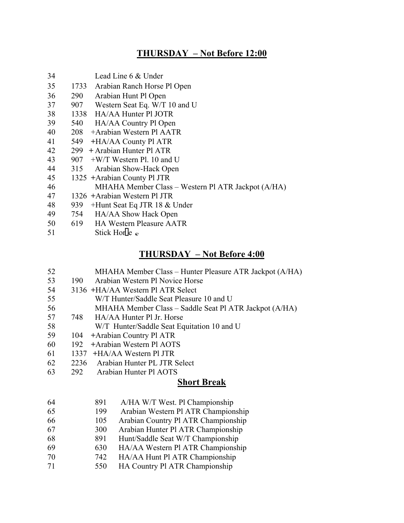## **THURSDAY – Not Before 12:00**

- Lead Line 6 & Under
- 35 1733 Arabian Ranch Horse Pl Open
- 290 Arabian Hunt Pl Open
- 37 907 Western Seat Eq. W/T 10 and U
- 1338 HA/AA Hunter Pl JOTR
- 540 HA/AA Country Pl Open
- 208 +Arabian Western Pl AATR
- 549 **+**HA/AA County Pl ATR
- 299 **+** Arabian Hunter Pl ATR
- 43  $907 + W/T$  Western Pl. 10 and U
- 315 Arabian Show-Hack Open
- 1325 **+**Arabian County Pl JTR
- MHAHA Member Class Western Pl ATR Jackpot (A/HA)
- 1326 **+**Arabian Western Pl JTR
- 939 +Hunt Seat Eq JTR 18 & Under
- 754 HA/AA Show Hack Open
- 50 619 HA Western Pleasure AATR
- 51 Stick Hor $\left[ e \right]_e$

#### **THURSDAY – Not Before 4:00 M**

- MHAHA Member Class Hunter Pleasure ATR Jackpot (A/HA) **O** 53 190 Arabian Western Pl Novice Horse
- 3136 **+**HA/AA Western Pl ATR Select **S**
- 55 W/T Hunter/Saddle Seat Pleasure 10 and U
- MHAHA Member Class Saddle Seat Pl ATR Jackpot (A/HA) **+**
- 748 HA/AA Hunter Pl Jr. Horse
- 58 W/T Hunter/Saddle Seat Equitation 10 and U
- 104 **+**Arabian Country Pl ATR s
- 192 **+**Arabian Western Pl AOTS t
- 1337 **+**HA/AA Western Pl JTR t
- 62 2236 Arabian Hunter PL JTR Select
- 63 292 Arabian Hunter PL 3TK S o

#### **Short Break**

- 891 A/HA W/T West. Pl Championship h
- 199 Arabian Western Pl ATR Championship 3
- 105 Arabian Country Pl ATR Championship r
- 300 Arabian Hunter Pl ATR Championship d
- 68 891 Hunt/Saddle Seat W/T Championship
- 630 HA/AA Western Pl ATR Championship l
- 742 HA/AA Hunt Pl ATR Championship a
- 71 550 HA Country Pl ATR Championship